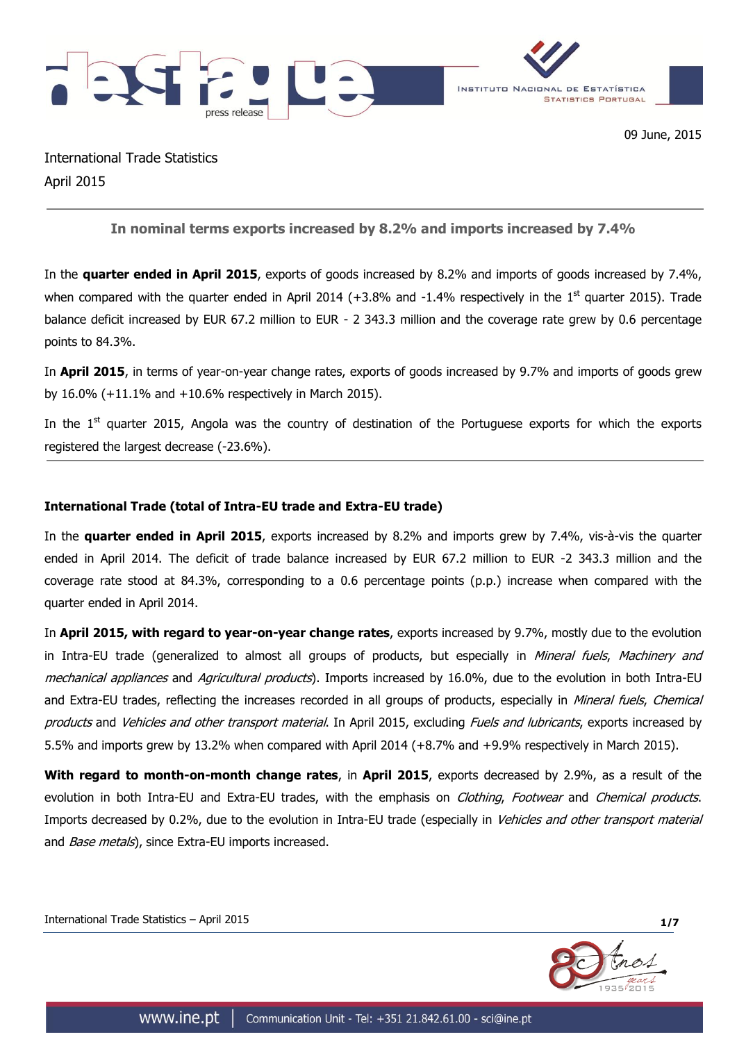

International Trade Statistics April 2015

**In nominal terms exports increased by 8.2% and imports increased by 7.4%**

In the **quarter ended in April 2015**, exports of goods increased by 8.2% and imports of goods increased by 7.4%, when compared with the quarter ended in April 2014 ( $+3.8\%$  and  $-1.4\%$  respectively in the  $1<sup>st</sup>$  quarter 2015). Trade balance deficit increased by EUR 67.2 million to EUR - 2 343.3 million and the coverage rate grew by 0.6 percentage points to 84.3%.

In **April 2015**, in terms of year-on-year change rates, exports of goods increased by 9.7% and imports of goods grew by 16.0% (+11.1% and +10.6% respectively in March 2015).

In the  $1<sup>st</sup>$  quarter 2015, Angola was the country of destination of the Portuguese exports for which the exports registered the largest decrease (-23.6%).

## **International Trade (total of Intra-EU trade and Extra-EU trade)**

In the **quarter ended in April 2015**, exports increased by 8.2% and imports grew by 7.4%, vis-à-vis the quarter ended in April 2014. The deficit of trade balance increased by EUR 67.2 million to EUR -2 343.3 million and the coverage rate stood at 84.3%, corresponding to a 0.6 percentage points (p.p.) increase when compared with the quarter ended in April 2014.

In **April 2015, with regard to year-on-year change rates**, exports increased by 9.7%, mostly due to the evolution in Intra-EU trade (generalized to almost all groups of products, but especially in Mineral fuels, Machinery and mechanical appliances and Agricultural products). Imports increased by 16.0%, due to the evolution in both Intra-EU and Extra-EU trades, reflecting the increases recorded in all groups of products, especially in *Mineral fuels, Chemical* products and Vehicles and other transport material. In April 2015, excluding Fuels and lubricants, exports increased by 5.5% and imports grew by 13.2% when compared with April 2014 (+8.7% and +9.9% respectively in March 2015).

**With regard to month-on-month change rates**, in **April 2015**, exports decreased by 2.9%, as a result of the evolution in both Intra-EU and Extra-EU trades, with the emphasis on *Clothing, Footwear* and *Chemical products*. Imports decreased by 0.2%, due to the evolution in Intra-EU trade (especially in Vehicles and other transport material and *Base metals*), since Extra-EU imports increased.

International Trade Statistics – April 2015 **1/7**

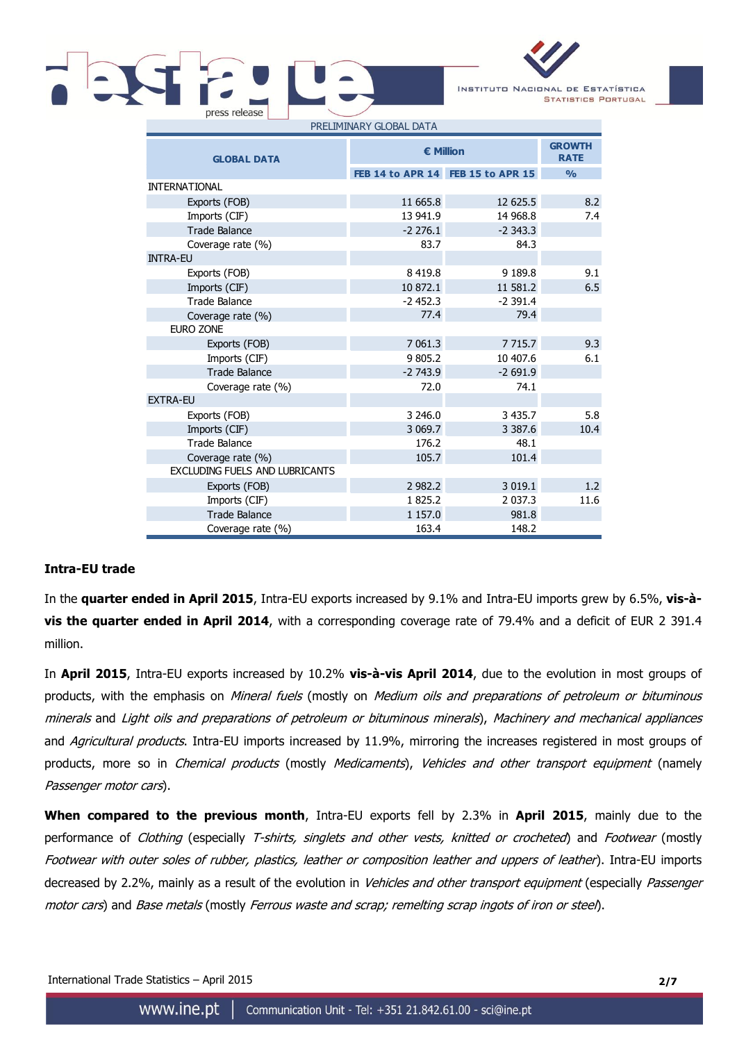

| <b>GLOBAL DATA</b>                    | <b>€ Million</b> | <b>GROWTH</b><br><b>RATE</b>      |               |
|---------------------------------------|------------------|-----------------------------------|---------------|
|                                       |                  | FEB 14 to APR 14 FEB 15 to APR 15 | $\frac{0}{0}$ |
| <b>INTERNATIONAL</b>                  |                  |                                   |               |
| Exports (FOB)                         | 11 665.8         | 12 625.5                          | 8.2           |
| Imports (CIF)                         | 13 941.9         | 14 968.8                          | 7.4           |
| <b>Trade Balance</b>                  | $-2276.1$        | $-2343.3$                         |               |
| Coverage rate (%)                     | 83.7             | 84.3                              |               |
| <b>INTRA-EU</b>                       |                  |                                   |               |
| Exports (FOB)                         | 8 4 19.8         | 9 189.8                           | 9.1           |
| Imports (CIF)                         | 10 872.1         | 11 581.2                          | 6.5           |
| <b>Trade Balance</b>                  | $-2452.3$        | $-2391.4$                         |               |
| Coverage rate (%)                     | 77.4             | 79.4                              |               |
| <b>EURO ZONE</b>                      |                  |                                   |               |
| Exports (FOB)                         | 7 061.3          | 7 7 1 5 . 7                       | 9.3           |
| Imports (CIF)                         | 9 805.2          | 10 407.6                          | 6.1           |
| <b>Trade Balance</b>                  | $-2743.9$        | $-2691.9$                         |               |
| Coverage rate (%)                     | 72.0             | 74.1                              |               |
| <b>EXTRA-EU</b>                       |                  |                                   |               |
| Exports (FOB)                         | 3 246.0          | 3 4 3 5 . 7                       | 5.8           |
| Imports (CIF)                         | 3 069.7          | 3 3 8 7 . 6                       | 10.4          |
| Trade Balance                         | 176.2            | 48.1                              |               |
| Coverage rate (%)                     | 105.7            | 101.4                             |               |
| <b>EXCLUDING FUELS AND LUBRICANTS</b> |                  |                                   |               |
| Exports (FOB)                         | 2 982.2          | 3 0 1 9 . 1                       | 1.2           |
| Imports (CIF)                         | 1 825.2          | 2 0 3 7 . 3                       | 11.6          |
| <b>Trade Balance</b>                  | 1 157.0          | 981.8                             |               |
| Coverage rate (%)                     | 163.4            | 148.2                             |               |

## **Intra-EU trade**

In the **quarter ended in April 2015**, Intra-EU exports increased by 9.1% and Intra-EU imports grew by 6.5%, **vis-àvis the quarter ended in April 2014**, with a corresponding coverage rate of 79.4% and a deficit of EUR 2 391.4 million.

In **April 2015**, Intra-EU exports increased by 10.2% **vis-à-vis April 2014**, due to the evolution in most groups of products, with the emphasis on Mineral fuels (mostly on Medium oils and preparations of petroleum or bituminous minerals and Light oils and preparations of petroleum or bituminous minerals), Machinery and mechanical appliances and Agricultural products. Intra-EU imports increased by 11.9%, mirroring the increases registered in most groups of products, more so in *Chemical products* (mostly *Medicaments*), Vehicles and other transport equipment (namely Passenger motor cars).

**When compared to the previous month**, Intra-EU exports fell by 2.3% in **April 2015**, mainly due to the performance of Clothing (especially T-shirts, singlets and other vests, knitted or crocheted) and Footwear (mostly Footwear with outer soles of rubber, plastics, leather or composition leather and uppers of leather). Intra-EU imports decreased by 2.2%, mainly as a result of the evolution in Vehicles and other transport equipment (especially Passenger motor cars) and Base metals (mostly Ferrous waste and scrap; remelting scrap ingots of iron or steel).

International Trade Statistics – April 2015 **2/7**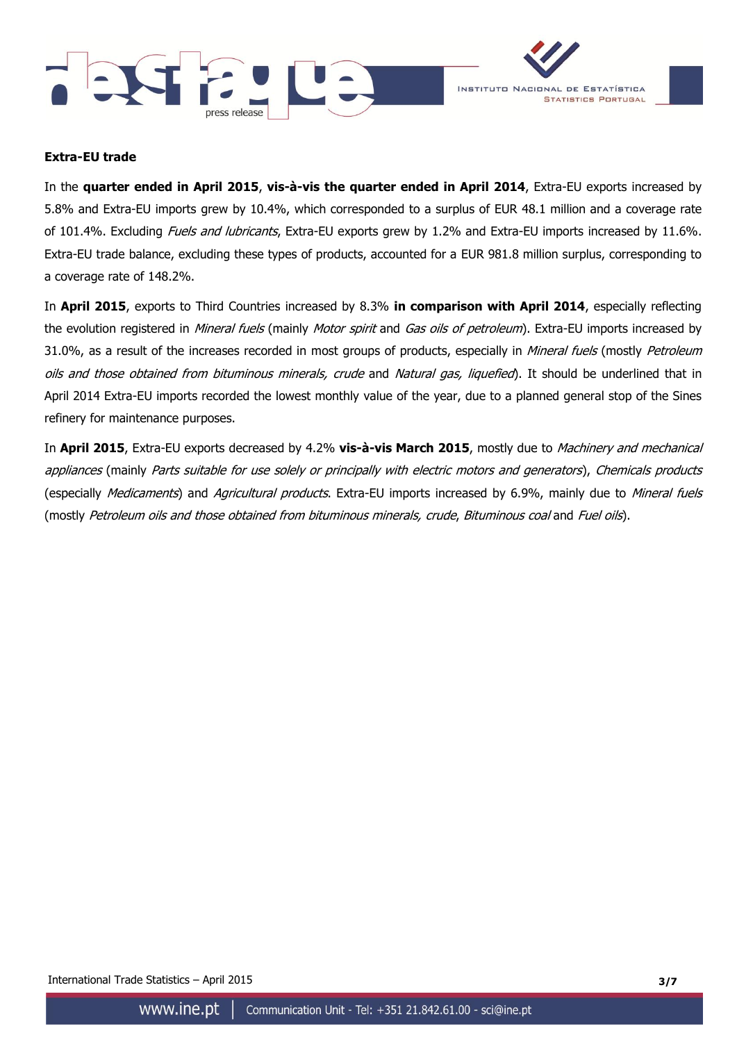



## **Extra-EU trade**

In the **quarter ended in April 2015**, **vis-à-vis the quarter ended in April 2014**, Extra-EU exports increased by 5.8% and Extra-EU imports grew by 10.4%, which corresponded to a surplus of EUR 48.1 million and a coverage rate of 101.4%. Excluding *Fuels and lubricants*, Extra-EU exports grew by 1.2% and Extra-EU imports increased by 11.6%. Extra-EU trade balance, excluding these types of products, accounted for a EUR 981.8 million surplus, corresponding to a coverage rate of 148.2%.

In **April 2015**, exports to Third Countries increased by 8.3% **in comparison with April 2014**, especially reflecting the evolution registered in Mineral fuels (mainly Motor spirit and Gas oils of petroleum). Extra-EU imports increased by 31.0%, as a result of the increases recorded in most groups of products, especially in *Mineral fuels* (mostly *Petroleum* oils and those obtained from bituminous minerals, crude and Natural gas, liquefied). It should be underlined that in April 2014 Extra-EU imports recorded the lowest monthly value of the year, due to a planned general stop of the Sines refinery for maintenance purposes.

In **April 2015**, Extra-EU exports decreased by 4.2% **vis-à-vis March 2015**, mostly due to Machinery and mechanical appliances (mainly Parts suitable for use solely or principally with electric motors and generators), Chemicals products (especially Medicaments) and Agricultural products. Extra-EU imports increased by 6.9%, mainly due to Mineral fuels (mostly Petroleum oils and those obtained from bituminous minerals, crude, Bituminous coal and Fuel oils).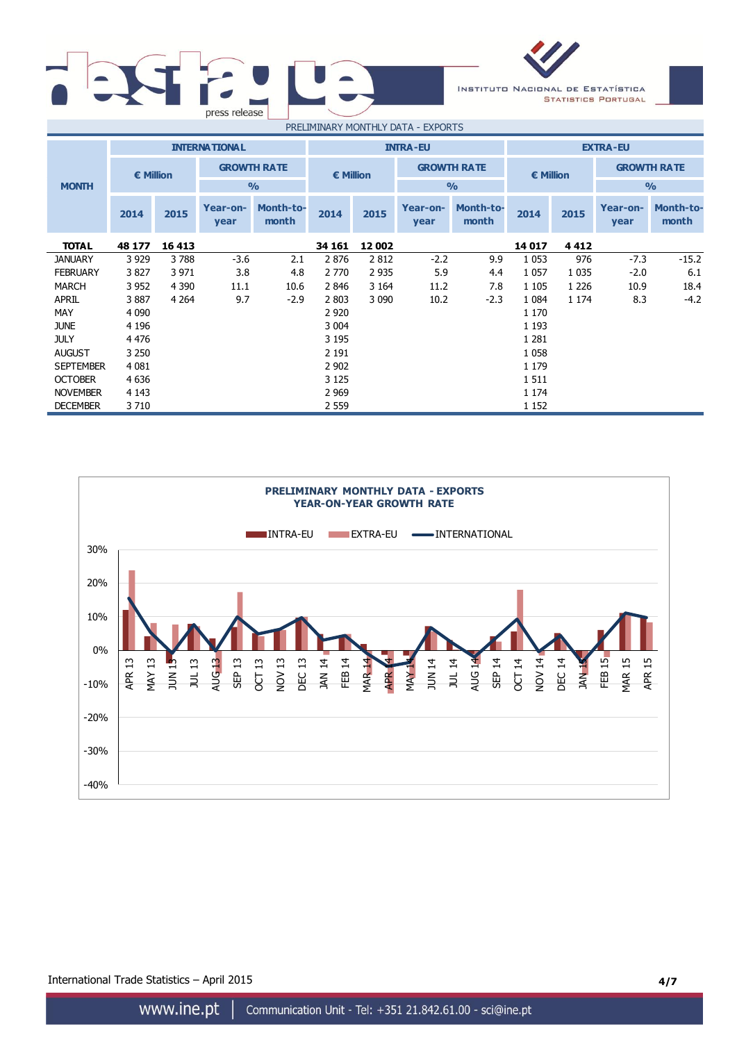



| PRELIMINARY MONTHLY DATA - EXPORTS |                  |         |                      |                           |                 |         |                  |                           |                 |         |                  |                           |           |  |  |                    |
|------------------------------------|------------------|---------|----------------------|---------------------------|-----------------|---------|------------------|---------------------------|-----------------|---------|------------------|---------------------------|-----------|--|--|--------------------|
|                                    |                  |         | <b>INTERNATIONAL</b> |                           | <b>INTRA-EU</b> |         |                  |                           | <b>EXTRA-EU</b> |         |                  |                           |           |  |  |                    |
|                                    | <b>€ Million</b> |         | <b>GROWTH RATE</b>   |                           | € Million       |         |                  |                           |                 |         |                  | <b>GROWTH RATE</b>        | € Million |  |  | <b>GROWTH RATE</b> |
| <b>MONTH</b>                       |                  |         |                      | $\frac{0}{0}$             |                 |         |                  | $\frac{0}{0}$             | $\frac{1}{2}$   |         |                  |                           |           |  |  |                    |
|                                    | 2014             | 2015    | Year-on-<br>year     | <b>Month-to-</b><br>month | 2014            | 2015    | Year-on-<br>year | <b>Month-to-</b><br>month | 2014            | 2015    | Year-on-<br>year | <b>Month-to-</b><br>month |           |  |  |                    |
| <b>TOTAL</b>                       | 48 177           | 16 413  |                      |                           | 34 161          | 12 002  |                  |                           | 14 017          | 4 4 1 2 |                  |                           |           |  |  |                    |
| <b>JANUARY</b>                     | 3 9 2 9          | 3788    | $-3.6$               | 2.1                       | 2876            | 2812    | $-2.2$           | 9.9                       | 1 0 5 3         | 976     | $-7.3$           | $-15.2$                   |           |  |  |                    |
| <b>FEBRUARY</b>                    | 3827             | 3 9 7 1 | 3.8                  | 4.8                       | 2 7 7 0         | 2 9 3 5 | 5.9              | 4.4                       | 1 0 5 7         | 1 0 3 5 | $-2.0$           | 6.1                       |           |  |  |                    |
| MARCH                              | 3 952            | 4 3 9 0 | 11.1                 | 10.6                      | 2846            | 3 1 6 4 | 11.2             | 7.8                       | 1 1 0 5         | 1 2 2 6 | 10.9             | 18.4                      |           |  |  |                    |
| <b>APRIL</b>                       | 3887             | 4 2 6 4 | 9.7                  | $-2.9$                    | 2 8 0 3         | 3 0 9 0 | 10.2             | $-2.3$                    | 1 0 8 4         | 1 174   | 8.3              | $-4.2$                    |           |  |  |                    |
| MAY                                | 4 0 9 0          |         |                      |                           | 2 9 2 0         |         |                  |                           | 1 1 7 0         |         |                  |                           |           |  |  |                    |
| <b>JUNE</b>                        | 4 1 9 6          |         |                      |                           | 3 0 0 4         |         |                  |                           | 1 1 9 3         |         |                  |                           |           |  |  |                    |
| <b>JULY</b>                        | 4 4 7 6          |         |                      |                           | 3 1 9 5         |         |                  |                           | 1 2 8 1         |         |                  |                           |           |  |  |                    |
| <b>AUGUST</b>                      | 3 2 5 0          |         |                      |                           | 2 1 9 1         |         |                  |                           | 1 0 5 8         |         |                  |                           |           |  |  |                    |
| <b>SEPTEMBER</b>                   | 4 0 8 1          |         |                      |                           | 2 9 0 2         |         |                  |                           | 1 1 7 9         |         |                  |                           |           |  |  |                    |
| <b>OCTOBER</b>                     | 4 6 3 6          |         |                      |                           | 3 1 2 5         |         |                  |                           | 1511            |         |                  |                           |           |  |  |                    |
| <b>NOVEMBER</b>                    | 4 1 4 3          |         |                      |                           | 2 9 6 9         |         |                  |                           | 1 1 7 4         |         |                  |                           |           |  |  |                    |
| <b>DECEMBER</b>                    | 3710             |         |                      |                           | 2 5 5 9         |         |                  |                           | 1 1 5 2         |         |                  |                           |           |  |  |                    |



International Trade Statistics – April 2015 **4/7**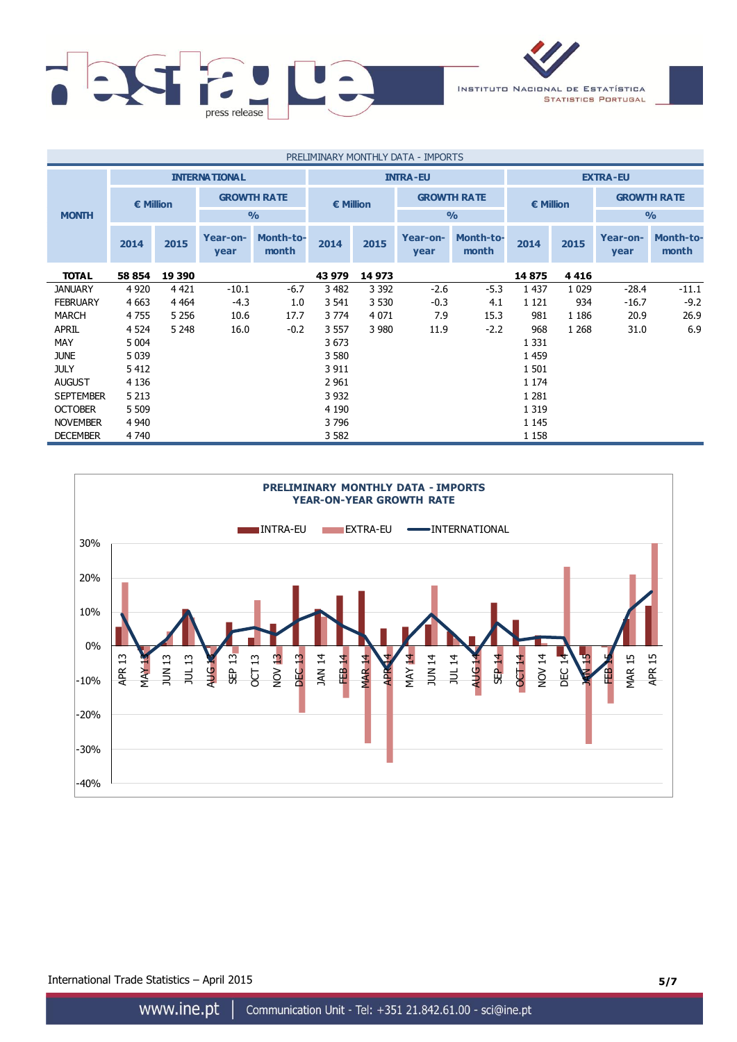

| PRELIMINARY MONTHLY DATA - IMPORTS |           |         |                      |                           |                  |         |                  |                           |                    |         |                  |                           |  |                    |
|------------------------------------|-----------|---------|----------------------|---------------------------|------------------|---------|------------------|---------------------------|--------------------|---------|------------------|---------------------------|--|--------------------|
|                                    |           |         | <b>INTERNATIONAL</b> |                           | <b>INTRA-EU</b>  |         |                  | <b>EXTRA-EU</b>           |                    |         |                  |                           |  |                    |
|                                    | € Million |         |                      | <b>GROWTH RATE</b>        | <b>€ Million</b> |         |                  |                           | <b>GROWTH RATE</b> |         | € Million        |                           |  | <b>GROWTH RATE</b> |
| <b>MONTH</b>                       |           |         |                      | $\frac{0}{0}$             |                  |         |                  | $\frac{0}{0}$             |                    |         |                  | $\frac{1}{2}$             |  |                    |
|                                    | 2014      | 2015    | Year-on-<br>year     | <b>Month-to-</b><br>month | 2014             | 2015    | Year-on-<br>year | <b>Month-to-</b><br>month | 2014               | 2015    | Year-on-<br>year | <b>Month-to-</b><br>month |  |                    |
| <b>TOTAL</b>                       | 58 854    | 19 390  |                      |                           | 43 979           | 14 973  |                  |                           | 14875              | 4416    |                  |                           |  |                    |
| <b>JANUARY</b>                     | 4 9 20    | 4 4 2 1 | $-10.1$              | $-6.7$                    | 3 4 8 2          | 3 3 9 2 | $-2.6$           | $-5.3$                    | 1 4 3 7            | 1 0 2 9 | $-28.4$          | $-11.1$                   |  |                    |
| <b>FEBRUARY</b>                    | 4 6 63    | 4 4 6 4 | $-4.3$               | 1.0                       | 3 541            | 3 5 3 0 | $-0.3$           | 4.1                       | 1 1 2 1            | 934     | $-16.7$          | $-9.2$                    |  |                    |
| <b>MARCH</b>                       | 4 7 5 5   | 5 2 5 6 | 10.6                 | 17.7                      | 3 7 7 4          | 4 0 7 1 | 7.9              | 15.3                      | 981                | 1 1 8 6 | 20.9             | 26.9                      |  |                    |
| APRIL                              | 4 5 24    | 5 2 4 8 | 16.0                 | $-0.2$                    | 3 5 5 7          | 3 980   | 11.9             | $-2.2$                    | 968                | 1 2 6 8 | 31.0             | 6.9                       |  |                    |
| MAY                                | 5 0 0 4   |         |                      |                           | 3673             |         |                  |                           | 1 3 3 1            |         |                  |                           |  |                    |
| <b>JUNE</b>                        | 5 0 3 9   |         |                      |                           | 3 5 8 0          |         |                  |                           | 1 4 5 9            |         |                  |                           |  |                    |
| <b>JULY</b>                        | 5 4 1 2   |         |                      |                           | 3 9 1 1          |         |                  |                           | 1 5 0 1            |         |                  |                           |  |                    |
| <b>AUGUST</b>                      | 4 1 3 6   |         |                      |                           | 2 9 61           |         |                  |                           | 1 1 7 4            |         |                  |                           |  |                    |
| <b>SEPTEMBER</b>                   | 5 2 1 3   |         |                      |                           | 3 9 3 2          |         |                  |                           | 1 2 8 1            |         |                  |                           |  |                    |
| <b>OCTOBER</b>                     | 5 5 0 9   |         |                      |                           | 4 1 9 0          |         |                  |                           | 1 3 1 9            |         |                  |                           |  |                    |
| <b>NOVEMBER</b>                    | 4 9 4 0   |         |                      |                           | 3796             |         |                  |                           | 1 1 4 5            |         |                  |                           |  |                    |
| <b>DECEMBER</b>                    | 4 740     |         |                      |                           | 3 5 8 2          |         |                  |                           | 1 1 5 8            |         |                  |                           |  |                    |



International Trade Statistics – April 2015 **5/7**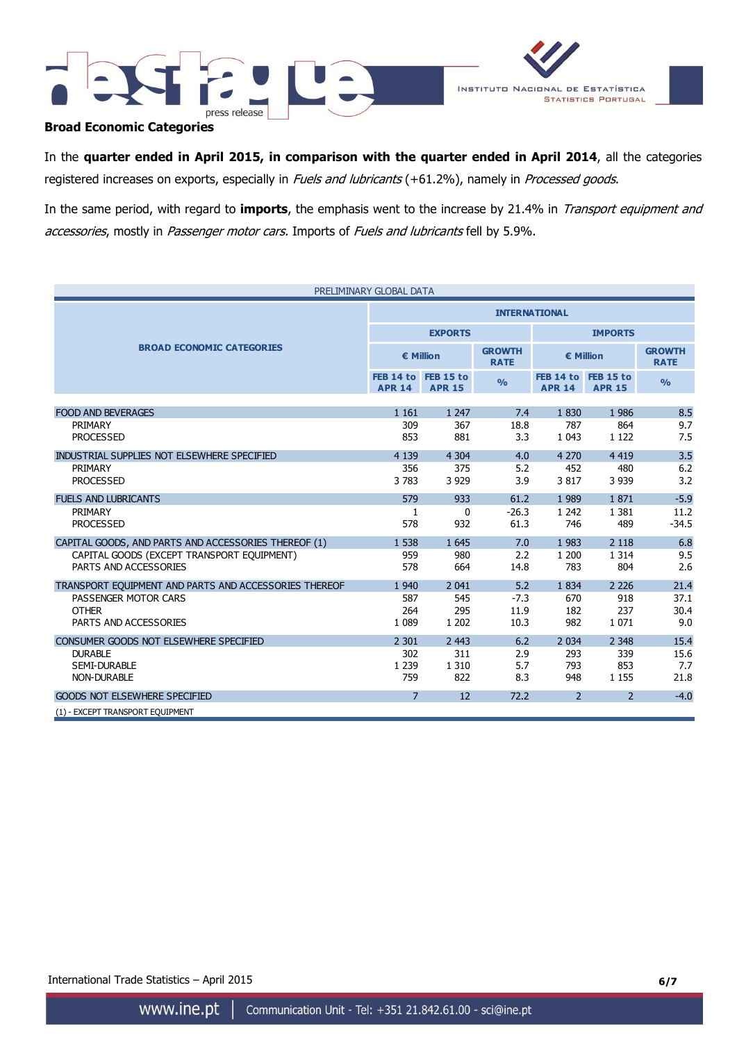



# **Broad Economic Categories**

In the **quarter ended in April 2015, in comparison with the quarter ended in April 2014**, all the categories registered increases on exports, especially in Fuels and lubricants (+61.2%), namely in Processed goods.

In the same period, with regard to **imports**, the emphasis went to the increase by 21.4% in Transport equipment and accessories, mostly in Passenger motor cars. Imports of Fuels and lubricants fell by 5.9%.

| PRELIMINARY GLOBAL DATA                               |                |                                      |                              |                          |                                      |                              |  |  |
|-------------------------------------------------------|----------------|--------------------------------------|------------------------------|--------------------------|--------------------------------------|------------------------------|--|--|
|                                                       |                | <b>INTERNATIONAL</b>                 |                              |                          |                                      |                              |  |  |
|                                                       |                | <b>EXPORTS</b>                       |                              | <b>IMPORTS</b>           |                                      |                              |  |  |
| <b>BROAD ECONOMIC CATEGORIES</b>                      |                | € Million                            | <b>GROWTH</b><br><b>RATE</b> | € Million                |                                      | <b>GROWTH</b><br><b>RATE</b> |  |  |
|                                                       | <b>APR 14</b>  | FEB 14 to FEB 15 to<br><b>APR 15</b> | $\frac{0}{0}$                | <b>APR 14</b>            | FEB 14 to FEB 15 to<br><b>APR 15</b> | O <sub>0</sub>               |  |  |
| <b>FOOD AND BEVERAGES</b>                             | 1 1 6 1        | 1 2 4 7                              | 7.4                          | 1830                     | 1986                                 | 8.5                          |  |  |
| PRIMARY                                               | 309            | 367                                  | 18.8                         | 787                      | 864                                  | 9.7                          |  |  |
| <b>PROCESSED</b>                                      | 853            | 881                                  | 3.3                          | 1 0 4 3                  | 1 1 2 2                              | 7.5                          |  |  |
| INDUSTRIAL SUPPLIES NOT ELSEWHERE SPECIFIED           | 4 1 3 9        | 4 3 0 4                              | 4.0                          | 4 2 7 0                  | 4 4 1 9                              | 3.5                          |  |  |
| PRIMARY                                               | 356            | 375                                  | 5.2                          | 452                      | 480                                  | 6.2                          |  |  |
| <b>PROCESSED</b>                                      | 3783           | 3 9 2 9                              | 3.9                          | 3817                     | 3 9 3 9                              | 3.2                          |  |  |
| <b>FUELS AND LUBRICANTS</b>                           | 579            | 933                                  | 61.2                         | 1 9 8 9                  | 1871                                 | $-5.9$                       |  |  |
| PRIMARY                                               | 1              | $\mathbf 0$                          | $-26.3$                      | 1 2 4 2                  | 1 3 8 1                              | 11.2                         |  |  |
| <b>PROCESSED</b>                                      | 578            | 932                                  | 61.3                         | 746                      | 489                                  | $-34.5$                      |  |  |
| CAPITAL GOODS, AND PARTS AND ACCESSORIES THEREOF (1)  | 1 5 3 8        | 1 6 4 5                              | 7.0                          | 1 9 8 3                  | 2 1 1 8                              | 6.8                          |  |  |
| CAPITAL GOODS (EXCEPT TRANSPORT EQUIPMENT)            | 959            | 980                                  | 2.2                          | 1 200                    | 1 3 1 4                              | 9.5                          |  |  |
| PARTS AND ACCESSORIES                                 | 578            | 664                                  | 14.8                         | 783                      | 804                                  | 2.6                          |  |  |
| TRANSPORT EQUIPMENT AND PARTS AND ACCESSORIES THEREOF | 1 9 4 0        | 2 0 4 1                              | 5.2                          | 1834                     | 2 2 2 6                              | 21.4                         |  |  |
| PASSENGER MOTOR CARS                                  | 587            | 545                                  | $-7.3$                       | 670                      | 918                                  | 37.1                         |  |  |
| <b>OTHER</b>                                          | 264            | 295                                  | 11.9                         | 182                      | 237                                  | 30.4                         |  |  |
| PARTS AND ACCESSORIES                                 | 1 0 8 9        | 1 2 0 2                              | 10.3                         | 982                      | 1 0 7 1                              | 9.0                          |  |  |
| CONSUMER GOODS NOT ELSEWHERE SPECIFIED                | 2 3 0 1        | 2 4 4 3                              | 6.2                          | 2 0 3 4                  | 2 3 4 8                              | 15.4                         |  |  |
| <b>DURABLE</b>                                        | 302            | 311                                  | 2.9                          | 293                      | 339                                  | 15.6                         |  |  |
| <b>SEMI-DURABLE</b>                                   | 1 2 3 9        | 1 3 1 0                              | 5.7                          | 793                      | 853                                  | 7.7                          |  |  |
| <b>NON-DURABLE</b>                                    | 759            | 822                                  | 8.3                          | 948                      | 1 1 5 5                              | 21.8                         |  |  |
| <b>GOODS NOT ELSEWHERE SPECIFIED</b>                  | $\overline{7}$ | 12                                   | 72.2                         | $\overline{\phantom{0}}$ | $\mathcal{P}$                        | $-4.0$                       |  |  |
| (1) - EXCEPT TRANSPORT EQUIPMENT                      |                |                                      |                              |                          |                                      |                              |  |  |